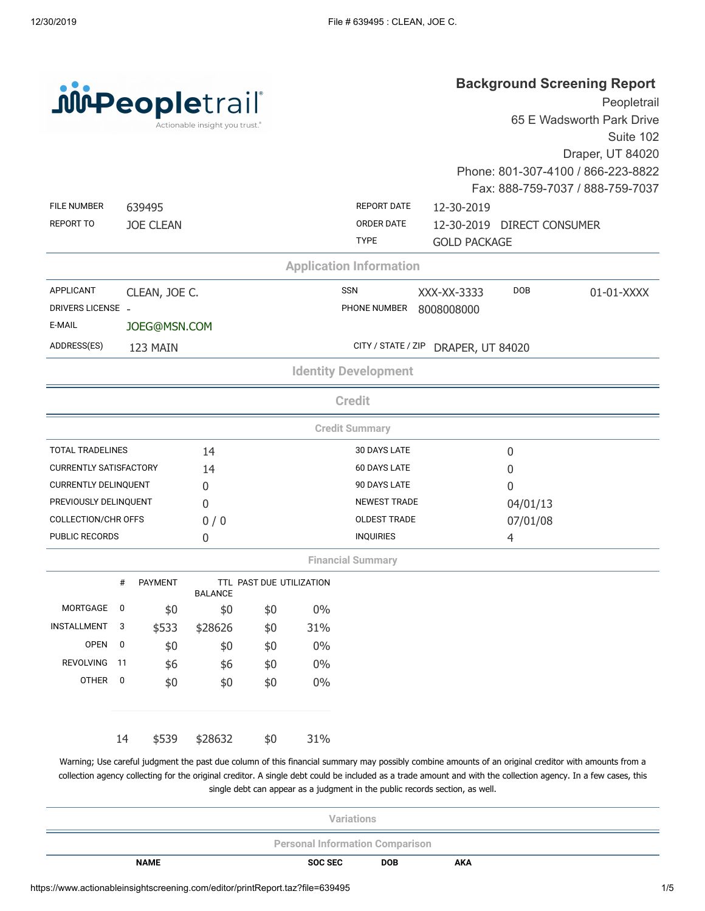| <b>juipeopletrail</b> |  |                                |  |
|-----------------------|--|--------------------------------|--|
|                       |  | Actionable insight you trust.® |  |

## **Background Screening Report**

| <b>JULPeopletrail</b>         |             |                  |                                |                          |       |                                |                     |                            | Peopletrail                                                                                                                                          |
|-------------------------------|-------------|------------------|--------------------------------|--------------------------|-------|--------------------------------|---------------------|----------------------------|------------------------------------------------------------------------------------------------------------------------------------------------------|
|                               |             |                  | Actionable insight you trust.® |                          |       |                                |                     |                            | 65 E Wadsworth Park Drive                                                                                                                            |
|                               |             |                  |                                |                          |       |                                |                     |                            | Suite 102                                                                                                                                            |
|                               |             |                  |                                |                          |       |                                |                     |                            | Draper, UT 84020                                                                                                                                     |
|                               |             |                  |                                |                          |       |                                |                     |                            | Phone: 801-307-4100 / 866-223-8822                                                                                                                   |
|                               |             |                  |                                |                          |       |                                |                     |                            | Fax: 888-759-7037 / 888-759-7037                                                                                                                     |
| <b>FILE NUMBER</b>            |             | 639495           |                                |                          |       | <b>REPORT DATE</b>             | 12-30-2019          |                            |                                                                                                                                                      |
| <b>REPORT TO</b>              |             | <b>JOE CLEAN</b> |                                |                          |       | ORDER DATE<br><b>TYPE</b>      | <b>GOLD PACKAGE</b> | 12-30-2019 DIRECT CONSUMER |                                                                                                                                                      |
|                               |             |                  |                                |                          |       | <b>Application Information</b> |                     |                            |                                                                                                                                                      |
| <b>APPLICANT</b>              |             |                  |                                |                          |       | <b>SSN</b>                     |                     | <b>DOB</b>                 |                                                                                                                                                      |
| DRIVERS LICENSE -             |             | CLEAN, JOE C.    |                                |                          |       | PHONE NUMBER                   | XXX-XX-3333         |                            | 01-01-XXXX                                                                                                                                           |
| E-MAIL                        |             | JOEG@MSN.COM     |                                |                          |       |                                | 8008008000          |                            |                                                                                                                                                      |
|                               |             |                  |                                |                          |       |                                |                     |                            |                                                                                                                                                      |
| ADDRESS(ES)                   |             | 123 MAIN         |                                |                          |       | CITY / STATE / ZIP             | DRAPER, UT 84020    |                            |                                                                                                                                                      |
|                               |             |                  |                                |                          |       | <b>Identity Development</b>    |                     |                            |                                                                                                                                                      |
|                               |             |                  |                                |                          |       | <b>Credit</b>                  |                     |                            |                                                                                                                                                      |
|                               |             |                  |                                |                          |       | <b>Credit Summary</b>          |                     |                            |                                                                                                                                                      |
| <b>TOTAL TRADELINES</b>       |             |                  | 14                             |                          |       | 30 DAYS LATE                   |                     | 0                          |                                                                                                                                                      |
| <b>CURRENTLY SATISFACTORY</b> |             |                  | 14                             |                          |       | <b>60 DAYS LATE</b>            |                     | $\boldsymbol{0}$           |                                                                                                                                                      |
| <b>CURRENTLY DELINQUENT</b>   |             |                  | 0                              |                          |       | 90 DAYS LATE                   |                     | 0                          |                                                                                                                                                      |
| PREVIOUSLY DELINQUENT         |             |                  | 0                              |                          |       | <b>NEWEST TRADE</b>            |                     | 04/01/13                   |                                                                                                                                                      |
| <b>COLLECTION/CHR OFFS</b>    |             |                  | 0/0                            |                          |       | <b>OLDEST TRADE</b>            |                     | 07/01/08                   |                                                                                                                                                      |
| <b>PUBLIC RECORDS</b>         |             |                  | $\boldsymbol{0}$               |                          |       | <b>INQUIRIES</b>               |                     | 4                          |                                                                                                                                                      |
|                               |             |                  |                                |                          |       | <b>Financial Summary</b>       |                     |                            |                                                                                                                                                      |
|                               | #           | <b>PAYMENT</b>   | <b>BALANCE</b>                 | TTL PAST DUE UTILIZATION |       |                                |                     |                            |                                                                                                                                                      |
| <b>MORTGAGE</b>               | 0           | \$0              | \$0                            | \$0                      | $0\%$ |                                |                     |                            |                                                                                                                                                      |
| INSTALLMENT                   | 3           | \$533            | \$28626                        | \$0                      | 31%   |                                |                     |                            |                                                                                                                                                      |
| <b>OPEN</b>                   | $\mathbf 0$ | \$0              | \$0                            | \$0                      | $0\%$ |                                |                     |                            |                                                                                                                                                      |
| REVOLVING                     | 11          | \$6              | \$6                            | \$0                      | $0\%$ |                                |                     |                            |                                                                                                                                                      |
| OTHER                         | $\pmb{0}$   | \$0              | \$0                            | \$0                      | $0\%$ |                                |                     |                            |                                                                                                                                                      |
|                               |             |                  |                                |                          |       |                                |                     |                            |                                                                                                                                                      |
|                               | 14          | \$539            | \$28632                        | \$0                      | 31%   |                                |                     |                            |                                                                                                                                                      |
|                               |             |                  |                                |                          |       |                                |                     |                            | Warning; Use careful judgment the past due column of this financial summary may possibly combine amounts of an original creditor with amounts from a |

collection agency collecting for the original creditor. A single debt could be included as a trade amount and with the collection agency. In a few cases, this single debt can appear as a judgment in the public records section, as well.

| <b>Variations</b>                      |                |            |            |  |  |  |
|----------------------------------------|----------------|------------|------------|--|--|--|
| <b>Personal Information Comparison</b> |                |            |            |  |  |  |
| <b>NAME</b>                            | <b>SOC SEC</b> | <b>DOB</b> | <b>AKA</b> |  |  |  |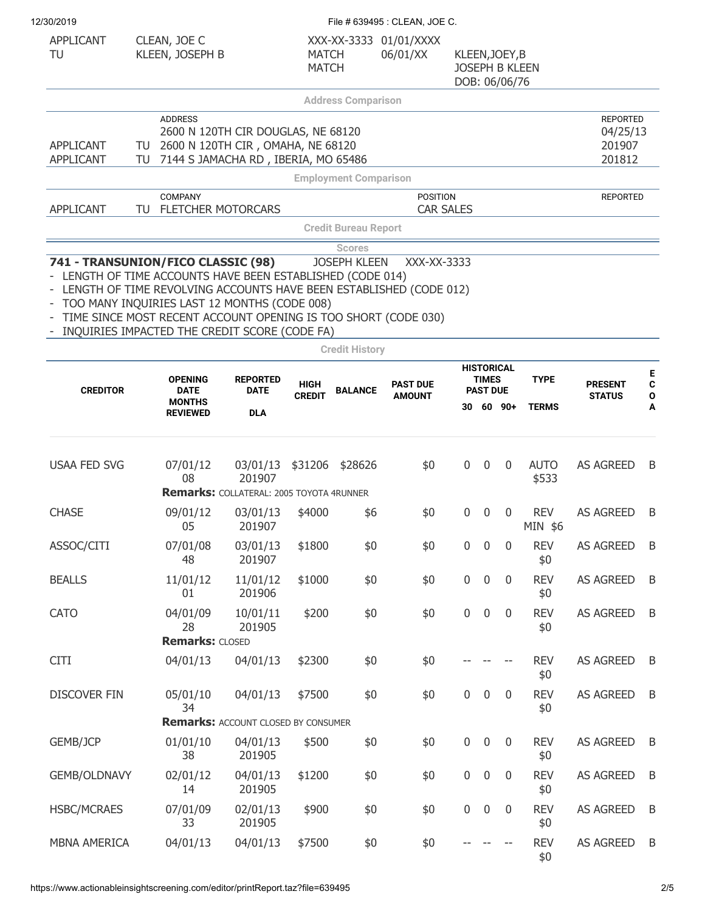| 12/30/2019 |
|------------|
|            |

| 12/30/2019                                                                                                                                                                                                                                                                                                                              |              |                                          |                                                                                                                |                              |                                              | File # 639495 : CLEAN, JOE C.      |                                 |                                 |                       |                       |                                                 |  |
|-----------------------------------------------------------------------------------------------------------------------------------------------------------------------------------------------------------------------------------------------------------------------------------------------------------------------------------------|--------------|------------------------------------------|----------------------------------------------------------------------------------------------------------------|------------------------------|----------------------------------------------|------------------------------------|---------------------------------|---------------------------------|-----------------------|-----------------------|-------------------------------------------------|--|
| APPLICANT<br>TU                                                                                                                                                                                                                                                                                                                         | CLEAN, JOE C | KLEEN, JOSEPH B                          |                                                                                                                | <b>MATCH</b><br><b>MATCH</b> |                                              | XXX-XX-3333 01/01/XXXX<br>06/01/XX | KLEEN, JOEY, B<br>DOB: 06/06/76 |                                 | <b>JOSEPH B KLEEN</b> |                       |                                                 |  |
|                                                                                                                                                                                                                                                                                                                                         |              |                                          |                                                                                                                |                              | <b>Address Comparison</b>                    |                                    |                                 |                                 |                       |                       |                                                 |  |
| APPLICANT<br><b>APPLICANT</b>                                                                                                                                                                                                                                                                                                           | TU<br>TU     | <b>ADDRESS</b>                           | 2600 N 120TH CIR DOUGLAS, NE 68120<br>2600 N 120TH CIR, OMAHA, NE 68120<br>7144 S JAMACHA RD, IBERIA, MO 65486 |                              |                                              |                                    |                                 |                                 |                       |                       | <b>REPORTED</b><br>04/25/13<br>201907<br>201812 |  |
|                                                                                                                                                                                                                                                                                                                                         |              |                                          |                                                                                                                |                              | <b>Employment Comparison</b>                 |                                    |                                 |                                 |                       |                       |                                                 |  |
|                                                                                                                                                                                                                                                                                                                                         |              | <b>COMPANY</b>                           |                                                                                                                |                              |                                              | <b>POSITION</b>                    |                                 |                                 |                       |                       | <b>REPORTED</b>                                 |  |
| <b>APPLICANT</b>                                                                                                                                                                                                                                                                                                                        |              |                                          | TU FLETCHER MOTORCARS                                                                                          |                              |                                              | <b>CAR SALES</b>                   |                                 |                                 |                       |                       |                                                 |  |
|                                                                                                                                                                                                                                                                                                                                         |              |                                          |                                                                                                                |                              | <b>Credit Bureau Report</b><br><b>Scores</b> |                                    |                                 |                                 |                       |                       |                                                 |  |
| 741 - TRANSUNION/FICO CLASSIC (98)<br>LENGTH OF TIME ACCOUNTS HAVE BEEN ESTABLISHED (CODE 014)<br>LENGTH OF TIME REVOLVING ACCOUNTS HAVE BEEN ESTABLISHED (CODE 012)<br>TOO MANY INQUIRIES LAST 12 MONTHS (CODE 008)<br>TIME SINCE MOST RECENT ACCOUNT OPENING IS TOO SHORT (CODE 030)<br>INQUIRIES IMPACTED THE CREDIT SCORE (CODE FA) |              |                                          |                                                                                                                |                              | <b>JOSEPH KLEEN</b>                          | XXX-XX-3333                        |                                 |                                 |                       |                       |                                                 |  |
|                                                                                                                                                                                                                                                                                                                                         |              |                                          |                                                                                                                |                              | <b>Credit History</b>                        |                                    |                                 |                                 |                       |                       |                                                 |  |
| <b>CREDITOR</b>                                                                                                                                                                                                                                                                                                                         |              | <b>OPENING</b><br><b>DATE</b>            | <b>REPORTED</b><br><b>DATE</b>                                                                                 | <b>HIGH</b>                  | <b>BALANCE</b>                               | <b>PAST DUE</b>                    |                                 | <b>TIMES</b><br><b>PAST DUE</b> | <b>HISTORICAL</b>     | <b>TYPE</b>           | <b>PRESENT</b>                                  |  |
|                                                                                                                                                                                                                                                                                                                                         |              | <b>MONTHS</b><br><b>REVIEWED</b>         | <b>DLA</b>                                                                                                     | <b>CREDIT</b>                |                                              | <b>AMOUNT</b>                      |                                 |                                 | 30 60 90+             | <b>TERMS</b>          | <b>STATUS</b>                                   |  |
| <b>USAA FED SVG</b>                                                                                                                                                                                                                                                                                                                     |              | 07/01/12<br>08                           | 03/01/13<br>201907                                                                                             |                              | \$31206 \$28626                              | \$0                                | $\mathbf 0$                     | $\mathbf 0$                     | $\overline{0}$        | <b>AUTO</b><br>\$533  | <b>AS AGREED</b>                                |  |
|                                                                                                                                                                                                                                                                                                                                         |              |                                          | <b>Remarks: COLLATERAL: 2005 TOYOTA 4RUNNER</b>                                                                |                              |                                              |                                    |                                 |                                 |                       |                       |                                                 |  |
| <b>CHASE</b>                                                                                                                                                                                                                                                                                                                            |              | 09/01/12<br>05                           | 03/01/13<br>201907                                                                                             | \$4000                       | \$6                                          | \$0                                | $\mathbf 0$                     | $\mathbf 0$                     | $\overline{0}$        | <b>REV</b><br>MIN \$6 | <b>AS AGREED</b>                                |  |
| ASSOC/CITI                                                                                                                                                                                                                                                                                                                              |              | 07/01/08<br>48                           | 03/01/13<br>201907                                                                                             | \$1800                       | \$0                                          | \$0                                | 0                               | $\pmb{0}$                       | $\mathbf 0$           | <b>REV</b><br>\$0     | AS AGREED                                       |  |
| <b>BEALLS</b>                                                                                                                                                                                                                                                                                                                           |              | 11/01/12<br>01                           | 11/01/12<br>201906                                                                                             | \$1000                       | \$0                                          | \$0                                | $\boldsymbol{0}$                | $\pmb{0}$                       | $\pmb{0}$             | <b>REV</b><br>\$0     | <b>AS AGREED</b>                                |  |
| <b>CATO</b>                                                                                                                                                                                                                                                                                                                             |              | 04/01/09<br>28<br><b>Remarks: CLOSED</b> | 10/01/11<br>201905                                                                                             | \$200                        | \$0                                          | \$0                                | $\boldsymbol{0}$                | $\boldsymbol{0}$                | $\overline{0}$        | <b>REV</b><br>\$0     | <b>AS AGREED</b>                                |  |
| <b>CITI</b>                                                                                                                                                                                                                                                                                                                             |              | 04/01/13                                 | 04/01/13                                                                                                       | \$2300                       | \$0                                          | \$0                                |                                 |                                 |                       | <b>REV</b><br>\$0     | <b>AS AGREED</b>                                |  |
| <b>DISCOVER FIN</b>                                                                                                                                                                                                                                                                                                                     |              | 05/01/10<br>34                           | 04/01/13                                                                                                       | \$7500                       | \$0                                          | \$0                                | $\boldsymbol{0}$                | $\mathbf 0$                     | $\pmb{0}$             | <b>REV</b><br>\$0     | AS AGREED                                       |  |
|                                                                                                                                                                                                                                                                                                                                         |              |                                          | <b>Remarks: ACCOUNT CLOSED BY CONSUMER</b>                                                                     |                              |                                              |                                    |                                 |                                 |                       |                       |                                                 |  |
| GEMB/JCP                                                                                                                                                                                                                                                                                                                                |              | 01/01/10<br>38                           | 04/01/13<br>201905                                                                                             | \$500                        | \$0                                          | \$0                                | $\pmb{0}$                       | $\pmb{0}$                       | $\pmb{0}$             | <b>REV</b><br>\$0     | <b>AS AGREED</b>                                |  |
| GEMB/OLDNAVY                                                                                                                                                                                                                                                                                                                            |              | 02/01/12<br>14                           | 04/01/13<br>201905                                                                                             | \$1200                       | \$0                                          | \$0                                | $\boldsymbol{0}$                | $\boldsymbol{0}$                | $\overline{0}$        | <b>REV</b><br>\$0     | AS AGREED                                       |  |
| <b>HSBC/MCRAES</b>                                                                                                                                                                                                                                                                                                                      |              | 07/01/09<br>33                           | 02/01/13<br>201905                                                                                             | \$900                        | \$0                                          | \$0                                | $\boldsymbol{0}$                | $\boldsymbol{0}$                | $\overline{0}$        | <b>REV</b><br>\$0     | AS AGREED                                       |  |
| MBNA AMERICA                                                                                                                                                                                                                                                                                                                            |              | 04/01/13                                 | 04/01/13                                                                                                       | \$7500                       | \$0                                          | \$0                                |                                 |                                 |                       | <b>REV</b><br>\$0     | AS AGREED                                       |  |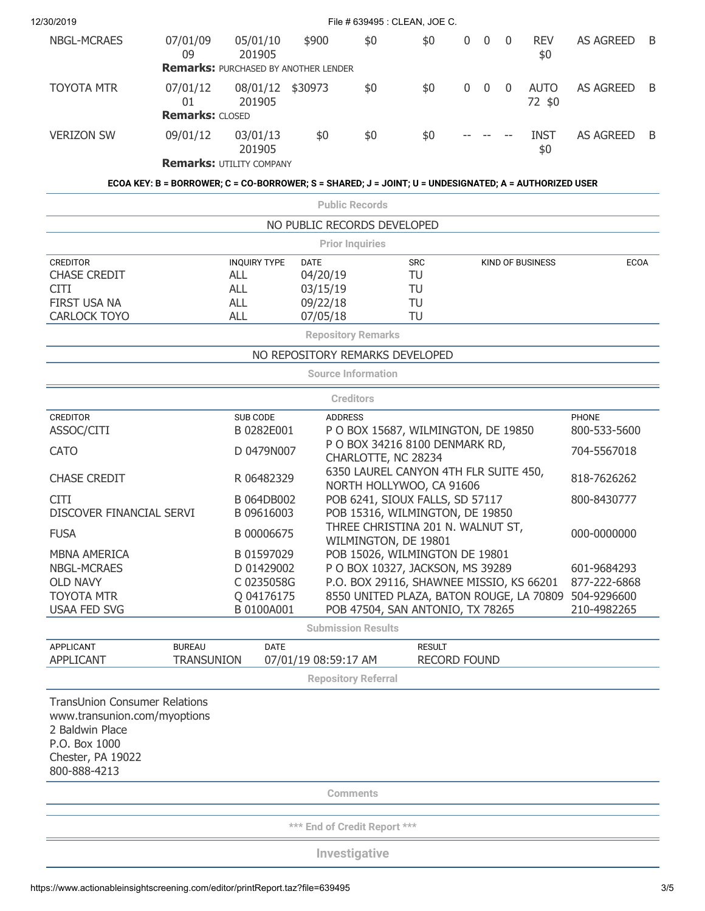| 12/30/2019                                                                                                                                    |                                                                                                       |                                                                   |                                 |                            | File # 639495 : CLEAN, JOE C.                                                |              |             |                |                       |                              |   |
|-----------------------------------------------------------------------------------------------------------------------------------------------|-------------------------------------------------------------------------------------------------------|-------------------------------------------------------------------|---------------------------------|----------------------------|------------------------------------------------------------------------------|--------------|-------------|----------------|-----------------------|------------------------------|---|
| <b>NBGL-MCRAES</b>                                                                                                                            | 07/01/09<br>09                                                                                        | 05/01/10<br>201905<br><b>Remarks: PURCHASED BY ANOTHER LENDER</b> | \$900                           | \$0                        | \$0                                                                          | $\mathbf{0}$ | $\mathbf 0$ | $\overline{0}$ | <b>REV</b><br>\$0     | <b>AS AGREED</b>             | B |
| <b>TOYOTA MTR</b>                                                                                                                             | 07/01/12<br>01<br><b>Remarks: CLOSED</b>                                                              | 08/01/12<br>201905                                                | \$30973                         | \$0                        | \$0                                                                          | $\mathbf 0$  | $\mathbf 0$ | $\overline{0}$ | <b>AUTO</b><br>72 \$0 | <b>AS AGREED</b>             | B |
| <b>VERIZON SW</b>                                                                                                                             | 09/01/12                                                                                              | 03/01/13<br>201905                                                | \$0                             | \$0                        | \$0                                                                          |              |             |                | <b>INST</b><br>\$0    | <b>AS AGREED</b>             | B |
|                                                                                                                                               |                                                                                                       | <b>Remarks: UTILITY COMPANY</b>                                   |                                 |                            |                                                                              |              |             |                |                       |                              |   |
|                                                                                                                                               | ECOA KEY: B = BORROWER; C = CO-BORROWER; S = SHARED; J = JOINT; U = UNDESIGNATED; A = AUTHORIZED USER |                                                                   |                                 |                            |                                                                              |              |             |                |                       |                              |   |
|                                                                                                                                               |                                                                                                       |                                                                   |                                 | <b>Public Records</b>      |                                                                              |              |             |                |                       |                              |   |
|                                                                                                                                               |                                                                                                       |                                                                   | NO PUBLIC RECORDS DEVELOPED     |                            |                                                                              |              |             |                |                       |                              |   |
|                                                                                                                                               |                                                                                                       |                                                                   |                                 | <b>Prior Inquiries</b>     |                                                                              |              |             |                |                       |                              |   |
| <b>CREDITOR</b><br><b>CHASE CREDIT</b>                                                                                                        |                                                                                                       | <b>INQUIRY TYPE</b><br><b>ALL</b>                                 | <b>DATE</b><br>04/20/19         |                            | <b>SRC</b><br>TU                                                             |              |             |                | KIND OF BUSINESS      | <b>ECOA</b>                  |   |
| <b>CITI</b>                                                                                                                                   |                                                                                                       | <b>ALL</b>                                                        | 03/15/19                        |                            | TU                                                                           |              |             |                |                       |                              |   |
| FIRST USA NA                                                                                                                                  |                                                                                                       | <b>ALL</b>                                                        | 09/22/18                        |                            | TU                                                                           |              |             |                |                       |                              |   |
| <b>CARLOCK TOYO</b>                                                                                                                           |                                                                                                       | <b>ALL</b>                                                        | 07/05/18                        |                            | TU                                                                           |              |             |                |                       |                              |   |
|                                                                                                                                               |                                                                                                       |                                                                   |                                 | <b>Repository Remarks</b>  |                                                                              |              |             |                |                       |                              |   |
|                                                                                                                                               |                                                                                                       |                                                                   | NO REPOSITORY REMARKS DEVELOPED |                            |                                                                              |              |             |                |                       |                              |   |
|                                                                                                                                               |                                                                                                       |                                                                   |                                 | <b>Source Information</b>  |                                                                              |              |             |                |                       |                              |   |
|                                                                                                                                               |                                                                                                       |                                                                   |                                 | <b>Creditors</b>           |                                                                              |              |             |                |                       |                              |   |
| <b>CREDITOR</b><br>ASSOC/CITI                                                                                                                 |                                                                                                       | SUB CODE<br>B 0282E001                                            | <b>ADDRESS</b>                  |                            | P O BOX 15687, WILMINGTON, DE 19850                                          |              |             |                |                       | <b>PHONE</b><br>800-533-5600 |   |
|                                                                                                                                               |                                                                                                       |                                                                   |                                 |                            | P O BOX 34216 8100 DENMARK RD,                                               |              |             |                |                       |                              |   |
| <b>CATO</b>                                                                                                                                   |                                                                                                       | D 0479N007                                                        |                                 |                            | CHARLOTTE, NC 28234                                                          |              |             |                |                       | 704-5567018                  |   |
| <b>CHASE CREDIT</b>                                                                                                                           |                                                                                                       | R 06482329                                                        |                                 |                            | 6350 LAUREL CANYON 4TH FLR SUITE 450,<br>NORTH HOLLYWOO, CA 91606            |              |             |                |                       | 818-7626262                  |   |
| <b>CITI</b>                                                                                                                                   |                                                                                                       | B 064DB002                                                        |                                 |                            | POB 6241, SIOUX FALLS, SD 57117                                              |              |             |                |                       | 800-8430777                  |   |
| DISCOVER FINANCIAL SERVI                                                                                                                      |                                                                                                       | B 09616003                                                        |                                 |                            | POB 15316, WILMINGTON, DE 19850                                              |              |             |                |                       |                              |   |
| <b>FUSA</b>                                                                                                                                   |                                                                                                       | B 00006675                                                        |                                 |                            | THREE CHRISTINA 201 N. WALNUT ST,<br>WILMINGTON, DE 19801                    |              |             |                |                       | 000-0000000                  |   |
| <b>MBNA AMERICA</b>                                                                                                                           |                                                                                                       | B 01597029                                                        |                                 |                            | POB 15026, WILMINGTON DE 19801                                               |              |             |                |                       |                              |   |
| <b>NBGL-MCRAES</b>                                                                                                                            |                                                                                                       | D 01429002                                                        |                                 |                            | P O BOX 10327, JACKSON, MS 39289                                             |              |             |                |                       | 601-9684293                  |   |
| <b>OLD NAVY</b>                                                                                                                               |                                                                                                       | C 0235058G                                                        |                                 |                            | P.O. BOX 29116, SHAWNEE MISSIO, KS 66201                                     |              |             |                |                       | 877-222-6868                 |   |
| <b>TOYOTA MTR</b><br><b>USAA FED SVG</b>                                                                                                      |                                                                                                       | Q 04176175<br>B 0100A001                                          |                                 |                            | 8550 UNITED PLAZA, BATON ROUGE, LA 70809<br>POB 47504, SAN ANTONIO, TX 78265 |              |             |                |                       | 504-9296600<br>210-4982265   |   |
|                                                                                                                                               |                                                                                                       |                                                                   |                                 | <b>Submission Results</b>  |                                                                              |              |             |                |                       |                              |   |
| <b>APPLICANT</b>                                                                                                                              | <b>BUREAU</b>                                                                                         | <b>DATE</b>                                                       |                                 |                            | <b>RESULT</b>                                                                |              |             |                |                       |                              |   |
| <b>APPLICANT</b>                                                                                                                              | <b>TRANSUNION</b>                                                                                     |                                                                   | 07/01/19 08:59:17 AM            |                            | <b>RECORD FOUND</b>                                                          |              |             |                |                       |                              |   |
|                                                                                                                                               |                                                                                                       |                                                                   |                                 | <b>Repository Referral</b> |                                                                              |              |             |                |                       |                              |   |
| <b>TransUnion Consumer Relations</b><br>www.transunion.com/myoptions<br>2 Baldwin Place<br>P.O. Box 1000<br>Chester, PA 19022<br>800-888-4213 |                                                                                                       |                                                                   |                                 |                            |                                                                              |              |             |                |                       |                              |   |
|                                                                                                                                               |                                                                                                       |                                                                   |                                 | <b>Comments</b>            |                                                                              |              |             |                |                       |                              |   |
|                                                                                                                                               |                                                                                                       |                                                                   |                                 |                            |                                                                              |              |             |                |                       |                              |   |
|                                                                                                                                               |                                                                                                       |                                                                   | *** End of Credit Report ***    |                            |                                                                              |              |             |                |                       |                              |   |
|                                                                                                                                               |                                                                                                       |                                                                   |                                 | Investigative              |                                                                              |              |             |                |                       |                              |   |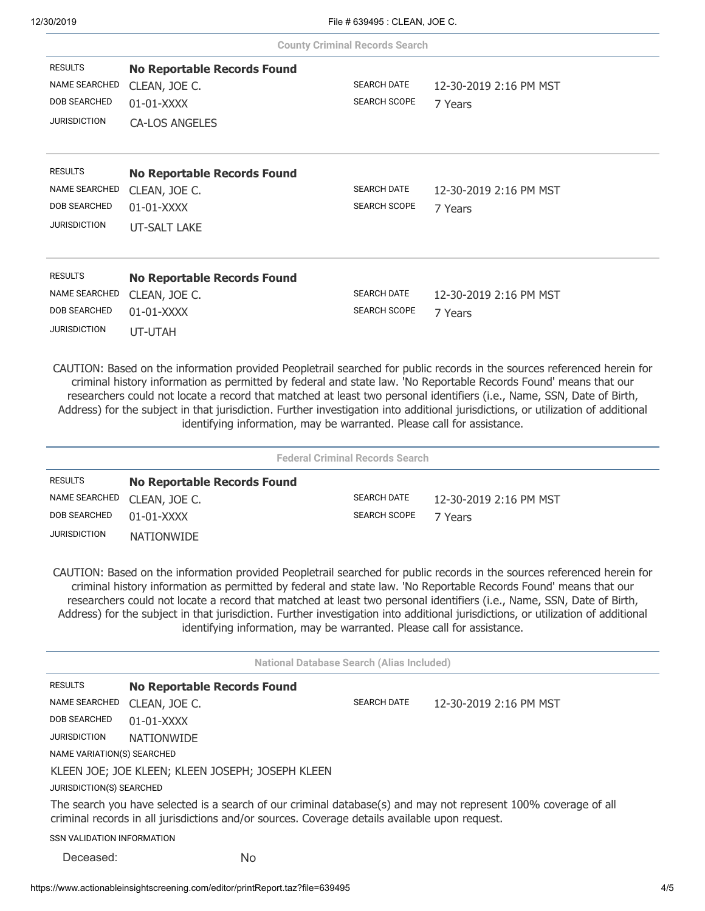|                            |                                                                        | <b>County Criminal Records Search</b>            |                                                                                                                                                                                                                                                                                                                                                                                                                                                                                                          |
|----------------------------|------------------------------------------------------------------------|--------------------------------------------------|----------------------------------------------------------------------------------------------------------------------------------------------------------------------------------------------------------------------------------------------------------------------------------------------------------------------------------------------------------------------------------------------------------------------------------------------------------------------------------------------------------|
| <b>RESULTS</b>             | <b>No Reportable Records Found</b>                                     |                                                  |                                                                                                                                                                                                                                                                                                                                                                                                                                                                                                          |
| <b>NAME SEARCHED</b>       | CLEAN, JOE C.                                                          | <b>SEARCH DATE</b>                               | 12-30-2019 2:16 PM MST                                                                                                                                                                                                                                                                                                                                                                                                                                                                                   |
| <b>DOB SEARCHED</b>        | $01-01-XXXX$                                                           | <b>SEARCH SCOPE</b>                              | 7 Years                                                                                                                                                                                                                                                                                                                                                                                                                                                                                                  |
| <b>JURISDICTION</b>        | <b>CA-LOS ANGELES</b>                                                  |                                                  |                                                                                                                                                                                                                                                                                                                                                                                                                                                                                                          |
| <b>RESULTS</b>             | <b>No Reportable Records Found</b>                                     |                                                  |                                                                                                                                                                                                                                                                                                                                                                                                                                                                                                          |
| NAME SEARCHED              | CLEAN, JOE C.                                                          | <b>SEARCH DATE</b>                               | 12-30-2019 2:16 PM MST                                                                                                                                                                                                                                                                                                                                                                                                                                                                                   |
| <b>DOB SEARCHED</b>        | 01-01-XXXX                                                             | <b>SEARCH SCOPE</b>                              | 7 Years                                                                                                                                                                                                                                                                                                                                                                                                                                                                                                  |
| <b>JURISDICTION</b>        | <b>UT-SALT LAKE</b>                                                    |                                                  |                                                                                                                                                                                                                                                                                                                                                                                                                                                                                                          |
| <b>RESULTS</b>             | <b>No Reportable Records Found</b>                                     |                                                  |                                                                                                                                                                                                                                                                                                                                                                                                                                                                                                          |
| <b>NAME SEARCHED</b>       | CLEAN, JOE C.                                                          | <b>SEARCH DATE</b>                               | 12-30-2019 2:16 PM MST                                                                                                                                                                                                                                                                                                                                                                                                                                                                                   |
| DOB SEARCHED               | 01-01-XXXX                                                             | <b>SEARCH SCOPE</b>                              | 7 Years                                                                                                                                                                                                                                                                                                                                                                                                                                                                                                  |
| <b>JURISDICTION</b>        | UT-UTAH                                                                |                                                  |                                                                                                                                                                                                                                                                                                                                                                                                                                                                                                          |
|                            |                                                                        | <b>Federal Criminal Records Search</b>           |                                                                                                                                                                                                                                                                                                                                                                                                                                                                                                          |
| <b>RESULTS</b>             | <b>No Reportable Records Found</b>                                     |                                                  |                                                                                                                                                                                                                                                                                                                                                                                                                                                                                                          |
| <b>NAME SEARCHED</b>       | CLEAN, JOE C.                                                          | <b>SEARCH DATE</b>                               | 12-30-2019 2:16 PM MST                                                                                                                                                                                                                                                                                                                                                                                                                                                                                   |
| <b>DOB SEARCHED</b>        | 01-01-XXXX                                                             | <b>SEARCH SCOPE</b>                              | 7 Years                                                                                                                                                                                                                                                                                                                                                                                                                                                                                                  |
| <b>JURISDICTION</b>        | <b>NATIONWIDE</b>                                                      |                                                  |                                                                                                                                                                                                                                                                                                                                                                                                                                                                                                          |
|                            | identifying information, may be warranted. Please call for assistance. |                                                  | CAUTION: Based on the information provided Peopletrail searched for public records in the sources referenced herein for<br>criminal history information as permitted by federal and state law. 'No Reportable Records Found' means that our<br>researchers could not locate a record that matched at least two personal identifiers (i.e., Name, SSN, Date of Birth,<br>Address) for the subject in that jurisdiction. Further investigation into additional jurisdictions, or utilization of additional |
|                            |                                                                        | <b>National Database Search (Alias Included)</b> |                                                                                                                                                                                                                                                                                                                                                                                                                                                                                                          |
| <b>RESULTS</b>             | <b>No Reportable Records Found</b>                                     |                                                  |                                                                                                                                                                                                                                                                                                                                                                                                                                                                                                          |
| NAME SEARCHED              | CLEAN, JOE C.                                                          | <b>SEARCH DATE</b>                               | 12-30-2019 2:16 PM MST                                                                                                                                                                                                                                                                                                                                                                                                                                                                                   |
| DOB SEARCHED               | 01-01-XXXX                                                             |                                                  |                                                                                                                                                                                                                                                                                                                                                                                                                                                                                                          |
| JURISDICTION               | <b>NATIONWIDE</b>                                                      |                                                  |                                                                                                                                                                                                                                                                                                                                                                                                                                                                                                          |
| NAME VARIATION(S) SEARCHED |                                                                        |                                                  |                                                                                                                                                                                                                                                                                                                                                                                                                                                                                                          |
|                            | KLEEN JOE; JOE KLEEN; KLEEN JOSEPH; JOSEPH KLEEN                       |                                                  |                                                                                                                                                                                                                                                                                                                                                                                                                                                                                                          |
|                            | JURISDICTION(S) SEARCHED                                               |                                                  |                                                                                                                                                                                                                                                                                                                                                                                                                                                                                                          |

The search you have selected is a search of our criminal database(s) and may not represent 100% coverage of all criminal records in all jurisdictions and/or sources. Coverage details available upon request.

SSN VALIDATION INFORMATION

Deceased:

No